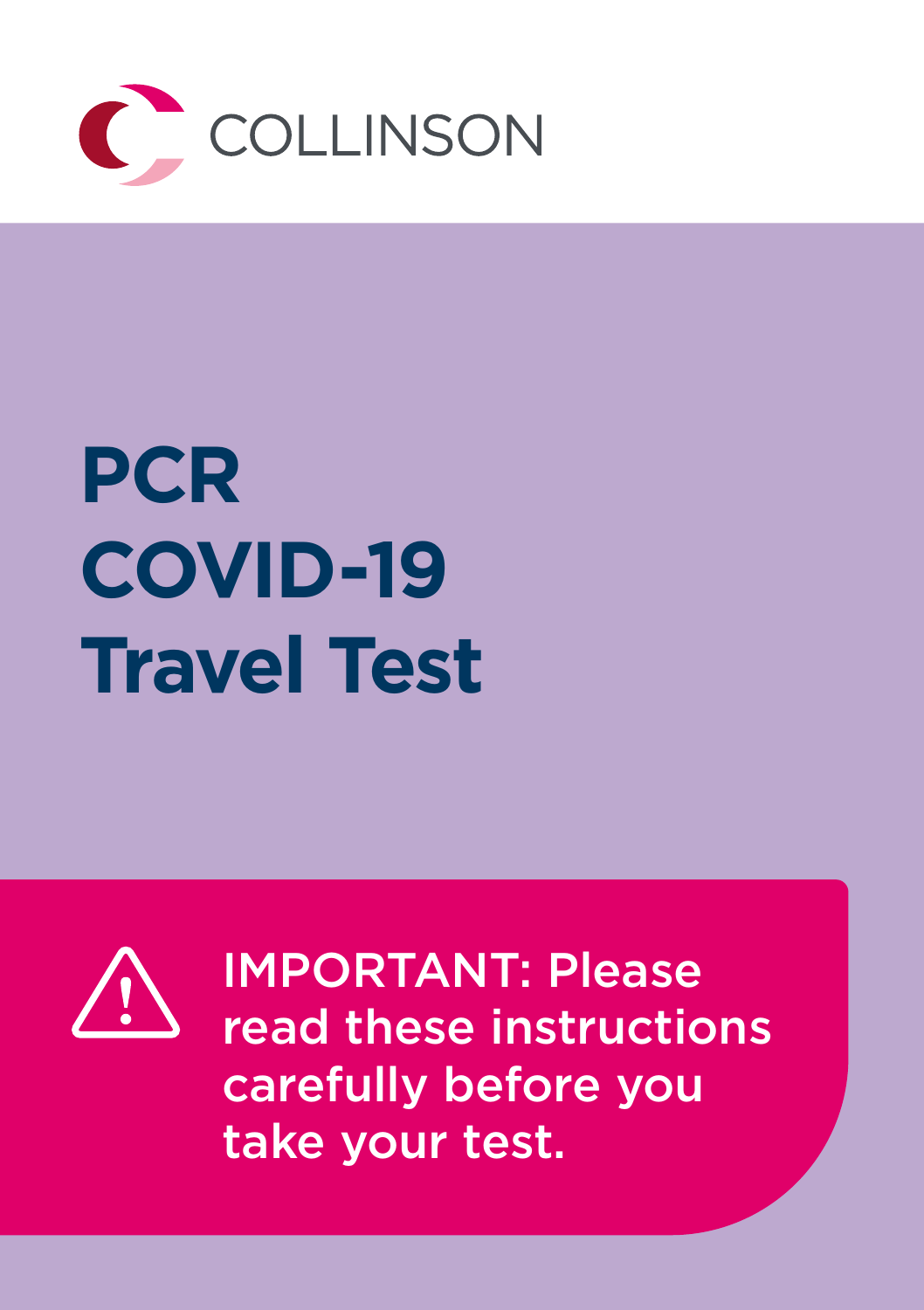

# **PCR COVID-19 Travel Test**



IMPORTANT: Please read these instructions carefully before you take your test.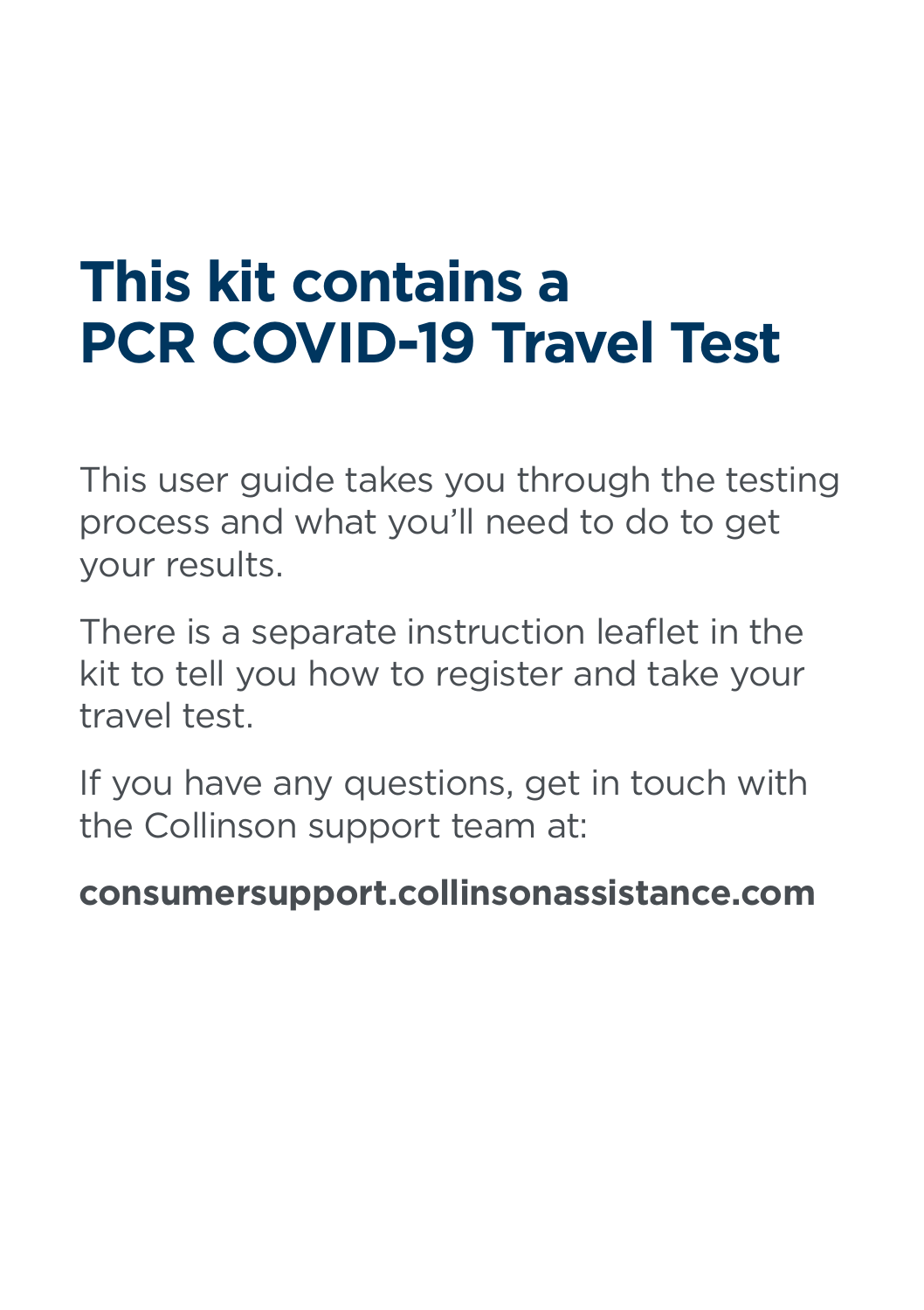# **This kit contains a PCR COVID-19 Travel Test**

This user guide takes you through the testing process and what you'll need to do to get your results.

There is a separate instruction leaflet in the kit to tell you how to register and take your travel test.

If you have any questions, get in touch with the Collinson support team at:

### **consumersupport.collinsonassistance.com**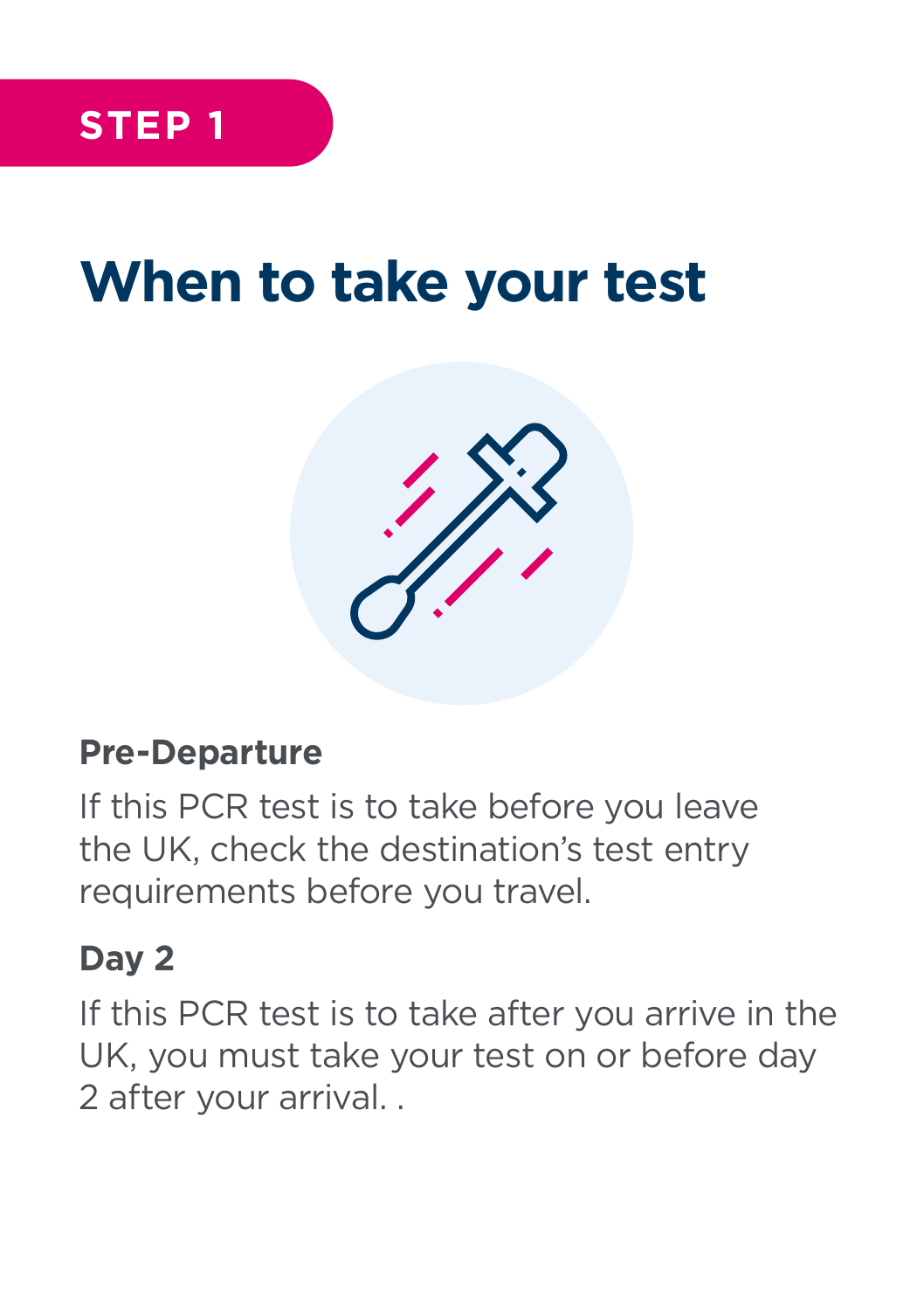## **When to take your test**



#### **Pre-Departure**

If this PCR test is to take before you leave the UK, check the destination's test entry requirements before you travel.

### **Day 2**

If this PCR test is to take after you arrive in the UK, you must take your test on or before day 2 after your arrival. .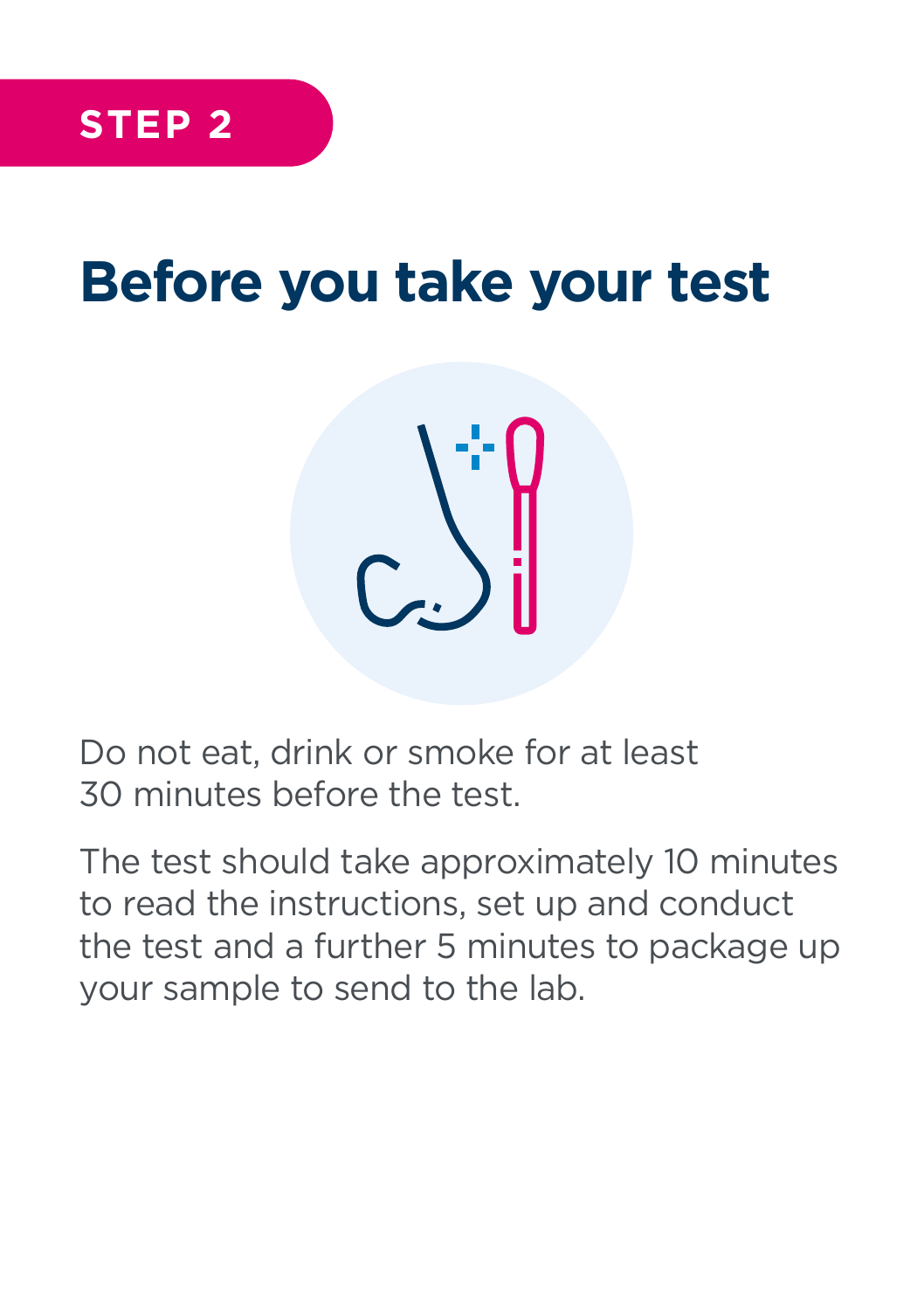# **Before you take your test**



Do not eat, drink or smoke for at least 30 minutes before the test.

The test should take approximately 10 minutes to read the instructions, set up and conduct the test and a further 5 minutes to package up your sample to send to the lab.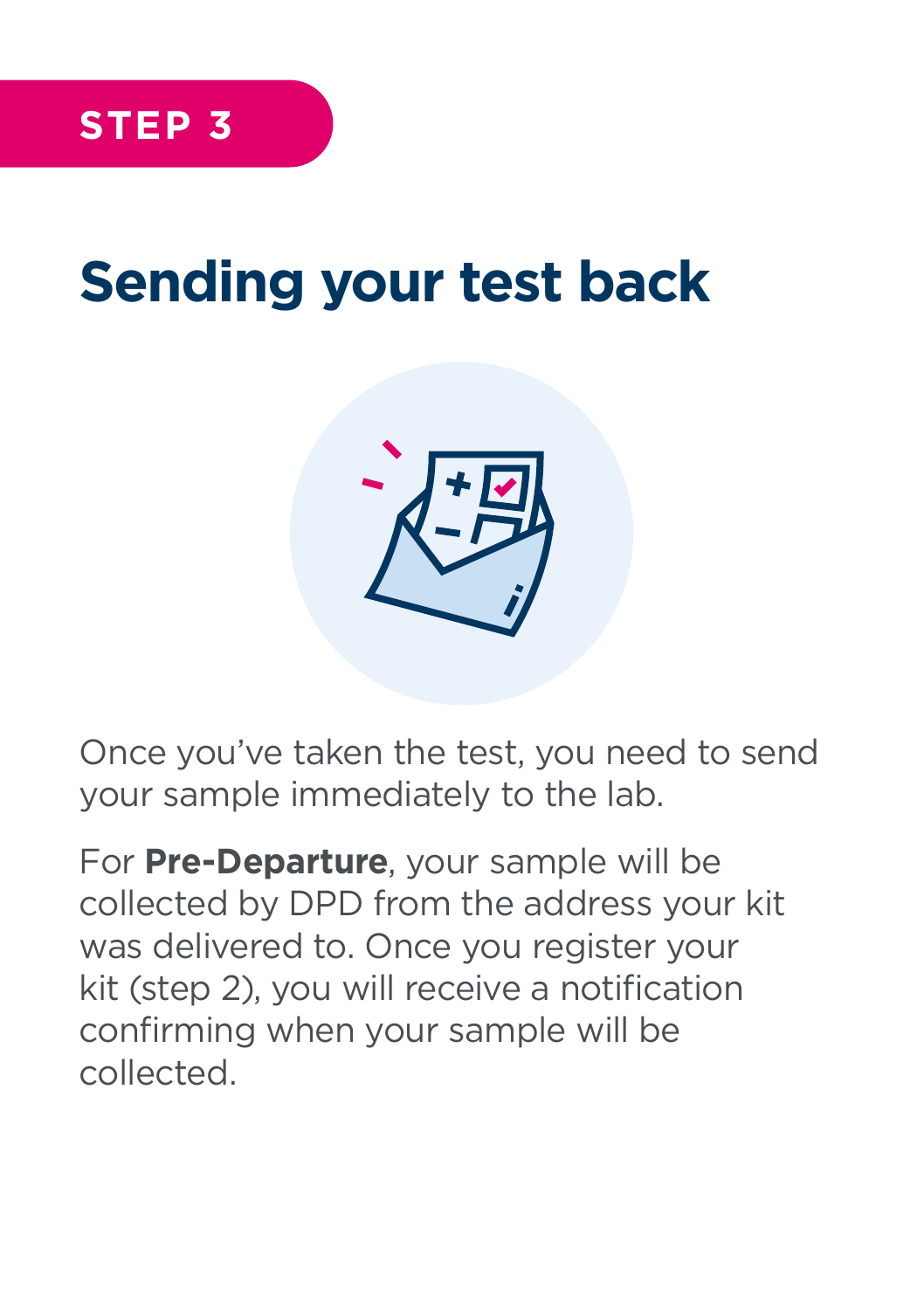# **Sending your test back**



Once you've taken the test, you need to send your sample immediately to the lab.

For **Pre-Departure**, your sample will be collected by DPD from the address your kit was delivered to. Once you register your kit (step 2), you will receive a notification confirming when your sample will be collected.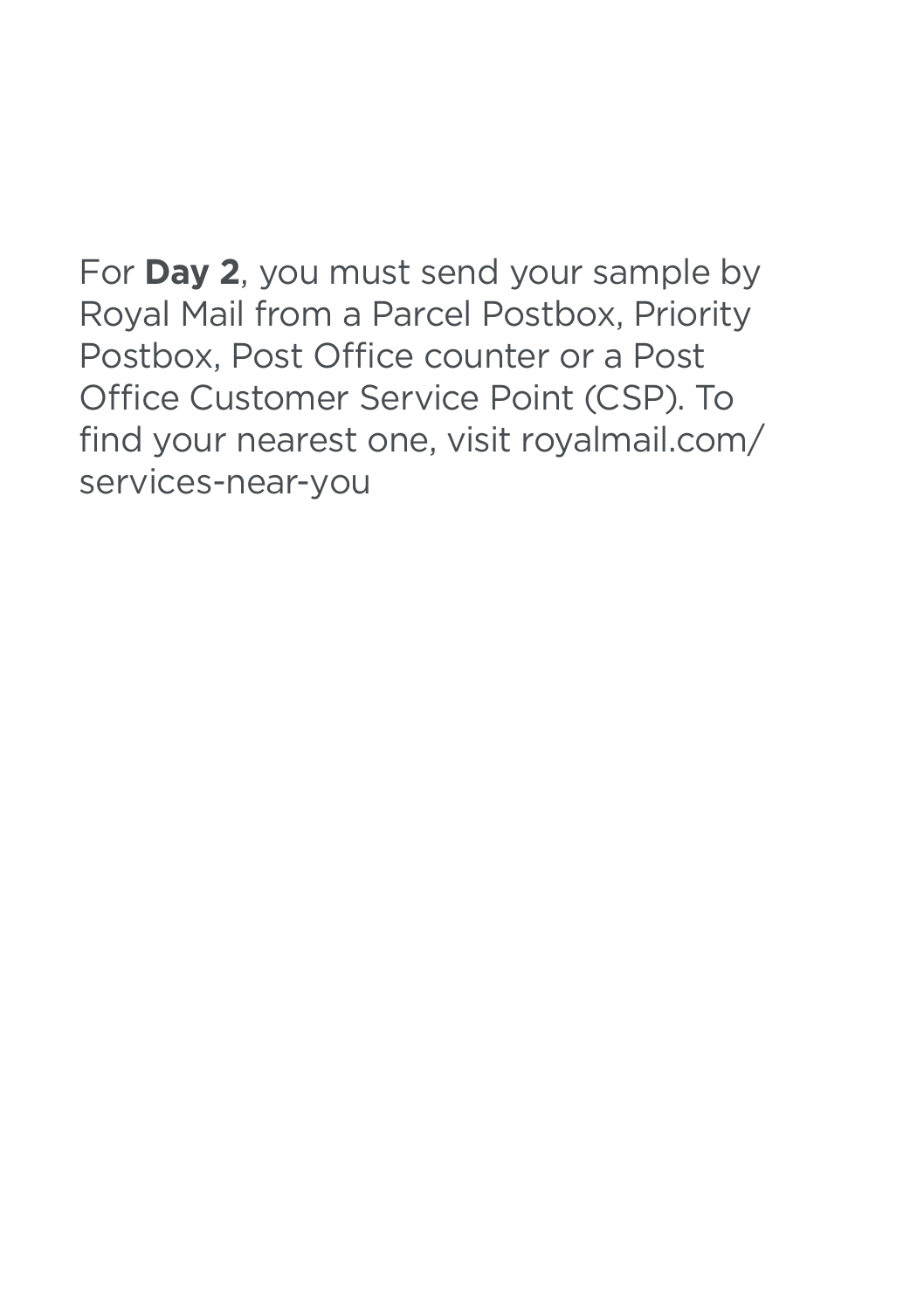For **Day 2**, you must send your sample by Royal Mail from a Parcel Postbox, Priority Postbox, Post Office counter or a Post Office Customer Service Point (CSP). To find your nearest one, visit royalmail.com/ services-near-you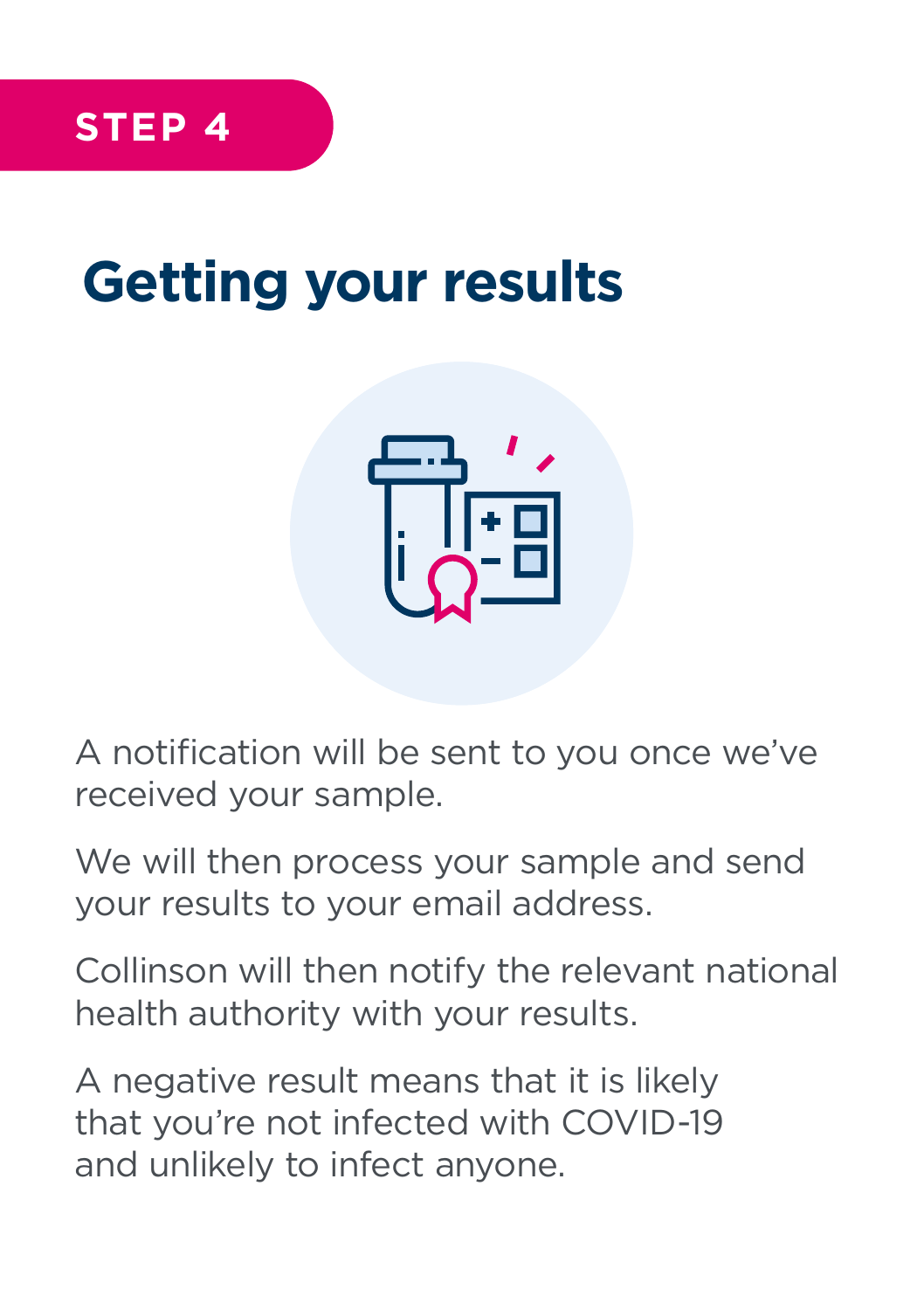## **Getting your results**



A notification will be sent to you once we've received your sample.

We will then process your sample and send your results to your email address.

Collinson will then notify the relevant national health authority with your results.

A negative result means that it is likely that you're not infected with COVID-19 and unlikely to infect anyone.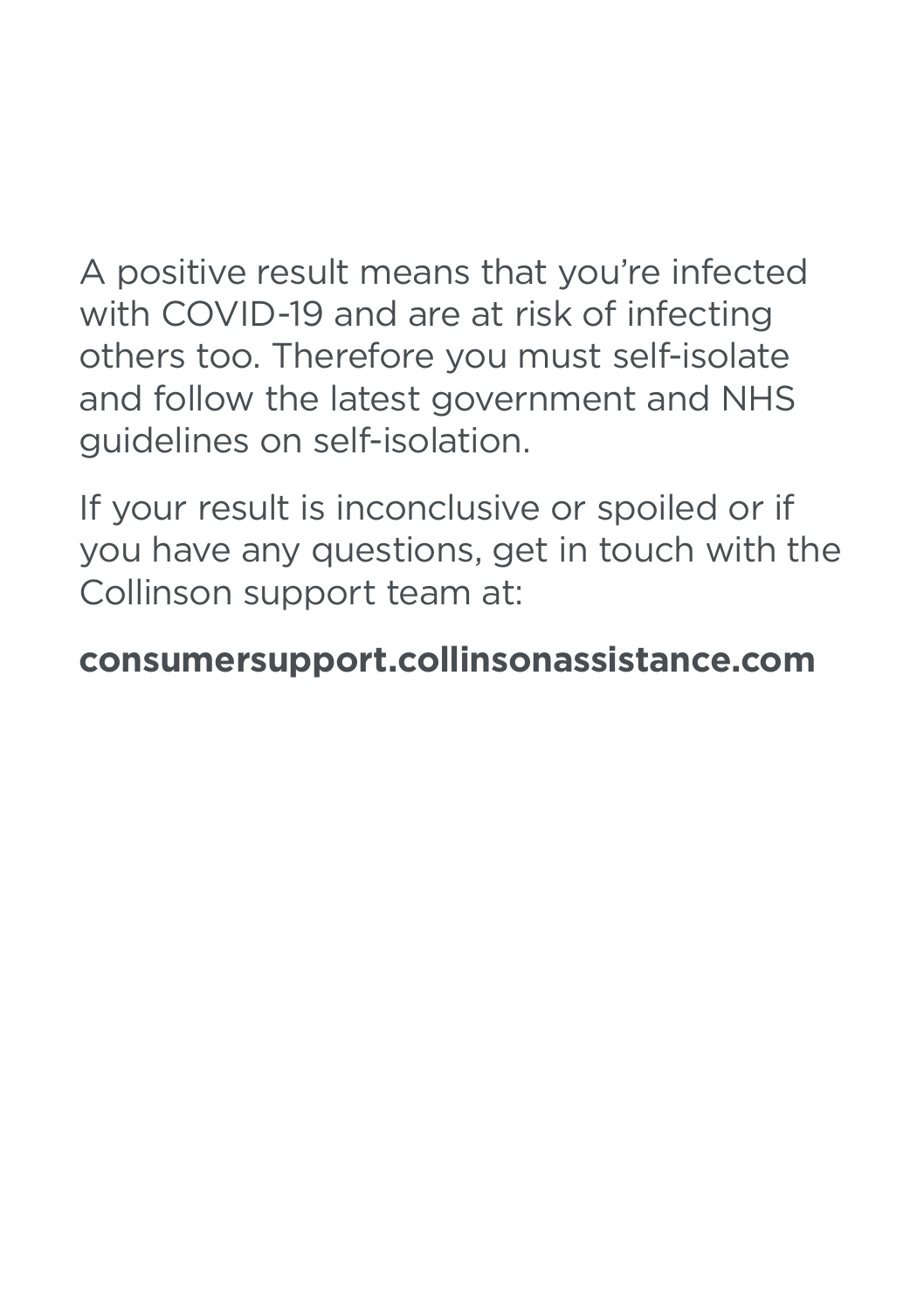A positive result means that you're infected with COVID-19 and are at risk of infecting others too. Therefore you must self-isolate and follow the latest government and NHS guidelines on self-isolation.

If your result is inconclusive or spoiled or if you have any questions, get in touch with the Collinson support team at:

### **consumersupport.collinsonassistance.com**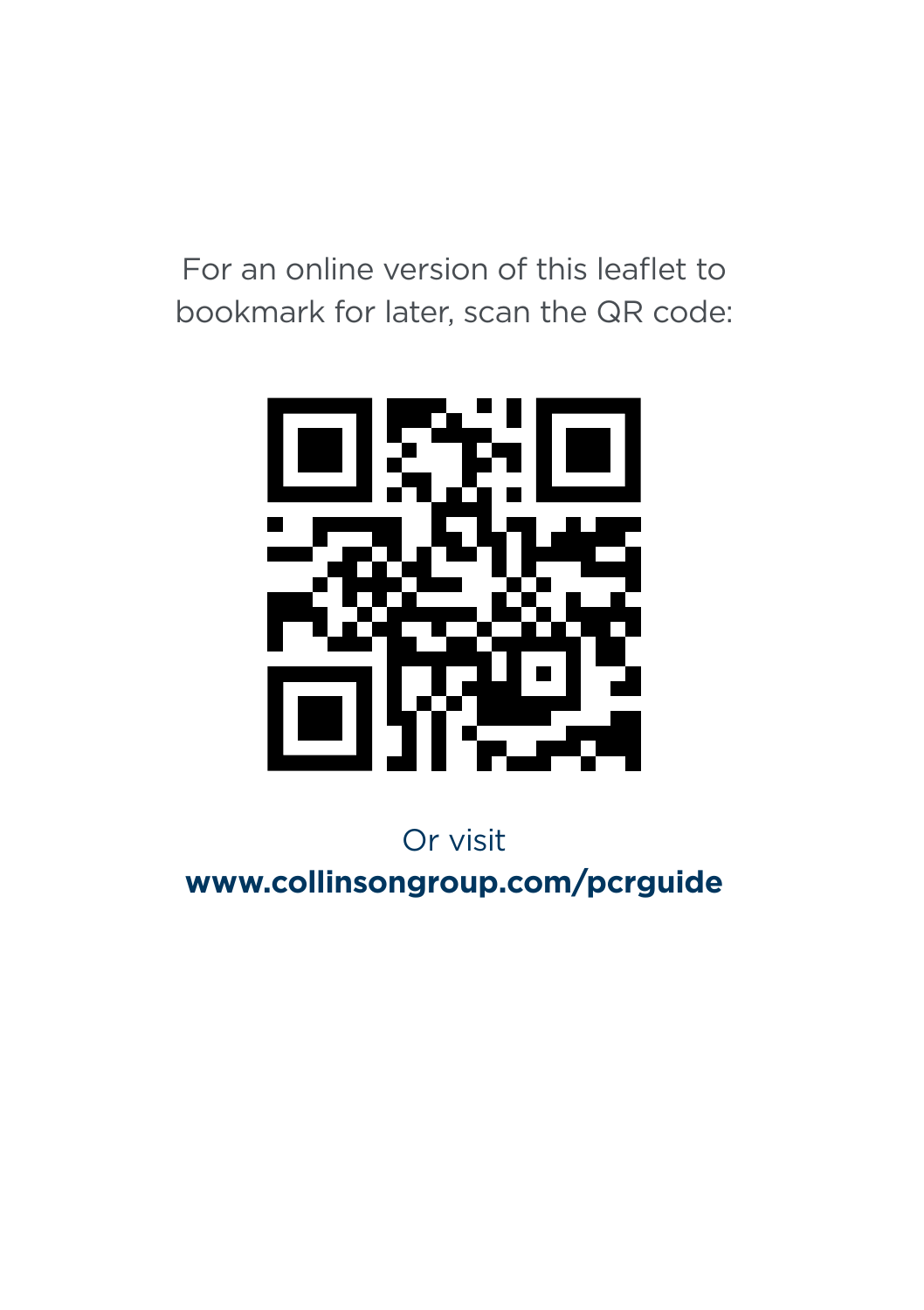For an online version of this leaflet to bookmark for later, scan the QR code:



Or visit **www.collinsongroup.com/pcrguide**